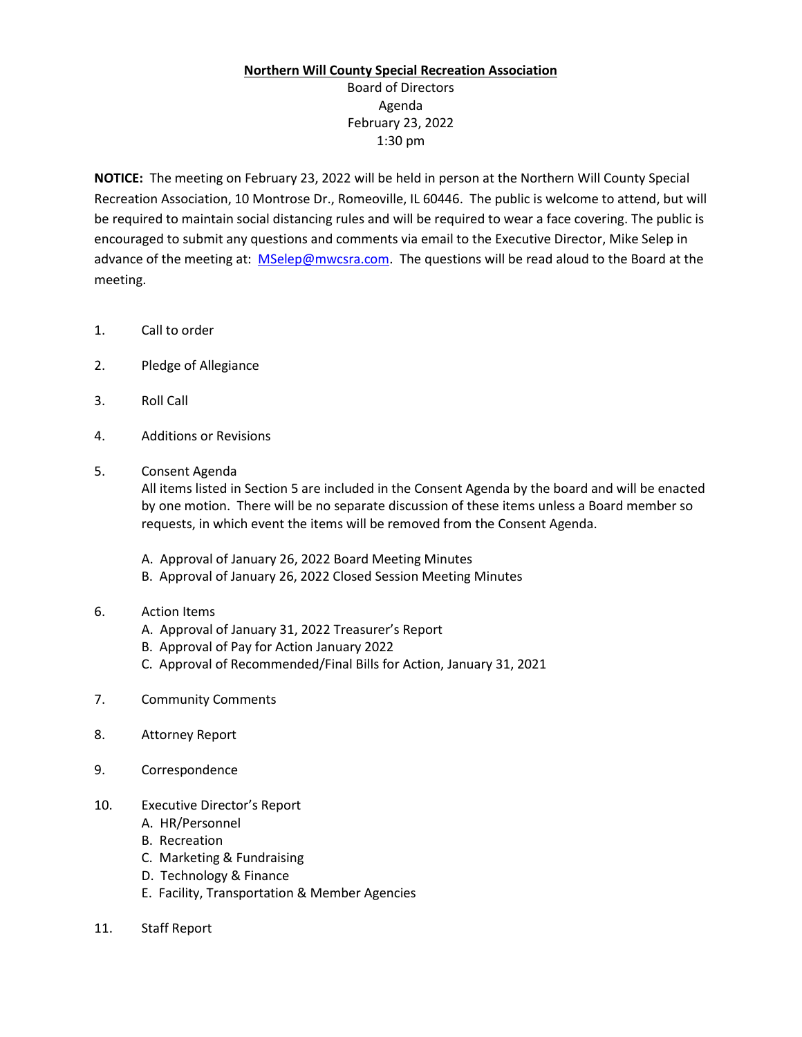## **Northern Will County Special Recreation Association**

Board of Directors Agenda February 23, 2022 1:30 pm

**NOTICE:** The meeting on February 23, 2022 will be held in person at the Northern Will County Special Recreation Association, 10 Montrose Dr., Romeoville, IL 60446. The public is welcome to attend, but will be required to maintain social distancing rules and will be required to wear a face covering. The public is encouraged to submit any questions and comments via email to the Executive Director, Mike Selep in advance of the meeting at: [MSelep@mwcsra.com.](mailto:MSelep@mwcsra.com) The questions will be read aloud to the Board at the meeting.

- 1. Call to order
- 2. Pledge of Allegiance
- 3. Roll Call
- 4. Additions or Revisions
- 5. Consent Agenda

All items listed in Section 5 are included in the Consent Agenda by the board and will be enacted by one motion. There will be no separate discussion of these items unless a Board member so requests, in which event the items will be removed from the Consent Agenda.

- A. Approval of January 26, 2022 Board Meeting Minutes
- B. Approval of January 26, 2022 Closed Session Meeting Minutes
- 6. Action Items
	- A. Approval of January 31, 2022 Treasurer's Report
	- B. Approval of Pay for Action January 2022
	- C. Approval of Recommended/Final Bills for Action, January 31, 2021
- 7. Community Comments
- 8. Attorney Report
- 9. Correspondence
- 10. Executive Director's Report
	- A. HR/Personnel
	- B. Recreation
	- C. Marketing & Fundraising
	- D. Technology & Finance
	- E. Facility, Transportation & Member Agencies
- 11. Staff Report